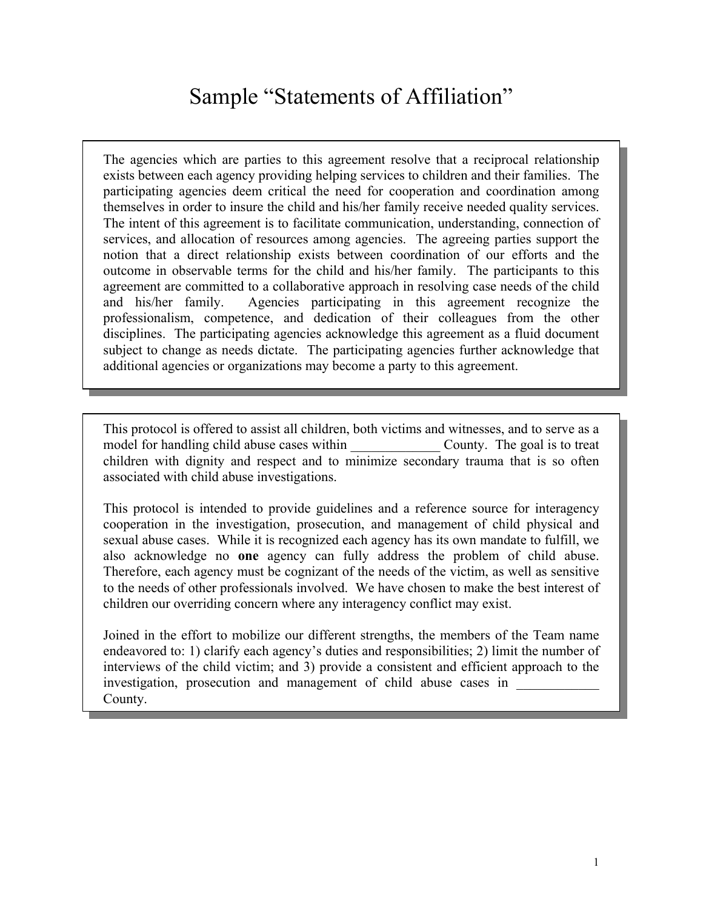## Sample "Statements of Affiliation"

The agencies which are parties to this agreement resolve that a reciprocal relationship exists between each agency providing helping services to children and their families. The participating agencies deem critical the need for cooperation and coordination among themselves in order to insure the child and his/her family receive needed quality services. The intent of this agreement is to facilitate communication, understanding, connection of services, and allocation of resources among agencies. The agreeing parties support the notion that a direct relationship exists between coordination of our efforts and the outcome in observable terms for the child and his/her family. The participants to this agreement are committed to a collaborative approach in resolving case needs of the child and his/her family. Agencies participating in this agreement recognize the professionalism, competence, and dedication of their colleagues from the other disciplines. The participating agencies acknowledge this agreement as a fluid document subject to change as needs dictate. The participating agencies further acknowledge that additional agencies or organizations may become a party to this agreement.

This protocol is offered to assist all children, both victims and witnesses, and to serve as a model for handling child abuse cases within County. The goal is to treat children with dignity and respect and to minimize secondary trauma that is so often associated with child abuse investigations.

This protocol is intended to provide guidelines and a reference source for interagency cooperation in the investigation, prosecution, and management of child physical and sexual abuse cases. While it is recognized each agency has its own mandate to fulfill, we also acknowledge no **one** agency can fully address the problem of child abuse. Therefore, each agency must be cognizant of the needs of the victim, as well as sensitive to the needs of other professionals involved. We have chosen to make the best interest of children our overriding concern where any interagency conflict may exist.

Joined in the effort to mobilize our different strengths, the members of the Team name endeavored to: 1) clarify each agency's duties and responsibilities; 2) limit the number of interviews of the child victim; and 3) provide a consistent and efficient approach to the investigation, prosecution and management of child abuse cases in County.